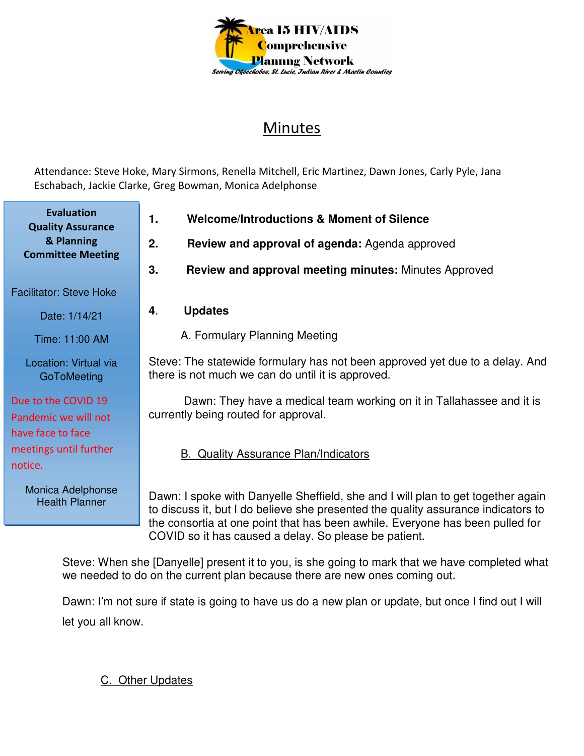

## Minutes

Attendance: Steve Hoke, Mary Sirmons, Renella Mitchell, Eric Martinez, Dawn Jones, Carly Pyle, Jana Eschabach, Jackie Clarke, Greg Bowman, Monica Adelphonse

**1. Welcome/Introductions & Moment of Silence 2. Review and approval of agenda:** Agenda approved **3. Review and approval meeting minutes:** Minutes Approved **4**. **Updates**  A. Formulary Planning Meeting Steve: The statewide formulary has not been approved yet due to a delay. And there is not much we can do until it is approved. Dawn: They have a medical team working on it in Tallahassee and it is currently being routed for approval. B. Quality Assurance Plan/Indicators Dawn: I spoke with Danyelle Sheffield, she and I will plan to get together again to discuss it, but I do believe she presented the quality assurance indicators to the consortia at one point that has been awhile. Everyone has been pulled for COVID so it has caused a delay. So please be patient. **Evaluation Quality Assurance & Planning Committee Meeting**  Facilitator: Steve Hoke Date: 1/14/21 Time: 11:00 AM Location: Virtual via **GoToMeeting** Due to the COVID 19 Pandemic we will not have face to face meetings until further notice. Monica Adelphonse Health Planner

Steve: When she [Danyelle] present it to you, is she going to mark that we have completed what we needed to do on the current plan because there are new ones coming out.

Dawn: I'm not sure if state is going to have us do a new plan or update, but once I find out I will let you all know.

C. Other Updates